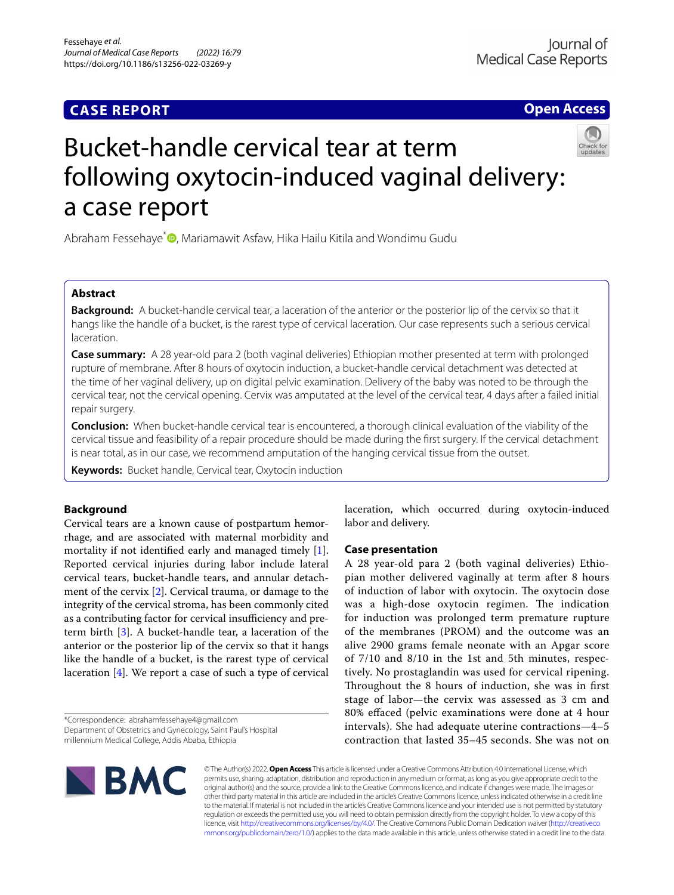## **CASE REPORT**

**Open Access**

# Bucket-handle cervical tear at term following oxytocin-induced vaginal delivery: a case report

Abraham Fessehaye<sup>\*</sup> **D**[,](http://orcid.org/0000-0001-5812-0804) Mariamawit Asfaw, Hika Hailu Kitila and Wondimu Gudu

### **Abstract**

**Background:** A bucket-handle cervical tear, a laceration of the anterior or the posterior lip of the cervix so that it hangs like the handle of a bucket, is the rarest type of cervical laceration. Our case represents such a serious cervical laceration.

**Case summary:** A 28 year-old para 2 (both vaginal deliveries) Ethiopian mother presented at term with prolonged rupture of membrane. After 8 hours of oxytocin induction, a bucket-handle cervical detachment was detected at the time of her vaginal delivery, up on digital pelvic examination. Delivery of the baby was noted to be through the cervical tear, not the cervical opening. Cervix was amputated at the level of the cervical tear, 4 days after a failed initial repair surgery.

**Conclusion:** When bucket-handle cervical tear is encountered, a thorough clinical evaluation of the viability of the cervical tissue and feasibility of a repair procedure should be made during the frst surgery. If the cervical detachment is near total, as in our case, we recommend amputation of the hanging cervical tissue from the outset.

**Keywords:** Bucket handle, Cervical tear, Oxytocin induction

### **Background**

Cervical tears are a known cause of postpartum hemorrhage, and are associated with maternal morbidity and mortality if not identifed early and managed timely [\[1](#page-2-0)]. Reported cervical injuries during labor include lateral cervical tears, bucket-handle tears, and annular detachment of the cervix [\[2](#page-2-1)]. Cervical trauma, or damage to the integrity of the cervical stroma, has been commonly cited as a contributing factor for cervical insufficiency and preterm birth [[3\]](#page-2-2). A bucket-handle tear, a laceration of the anterior or the posterior lip of the cervix so that it hangs like the handle of a bucket, is the rarest type of cervical laceration [[4\]](#page-2-3). We report a case of such a type of cervical

\*Correspondence: abrahamfessehaye4@gmail.com Department of Obstetrics and Gynecology, Saint Paul's Hospital millennium Medical College, Addis Ababa, Ethiopia

laceration, which occurred during oxytocin-induced labor and delivery.

#### **Case presentation**

A 28 year-old para 2 (both vaginal deliveries) Ethiopian mother delivered vaginally at term after 8 hours of induction of labor with oxytocin. The oxytocin dose was a high-dose oxytocin regimen. The indication for induction was prolonged term premature rupture of the membranes (PROM) and the outcome was an alive 2900 grams female neonate with an Apgar score of 7/10 and 8/10 in the 1st and 5th minutes, respectively. No prostaglandin was used for cervical ripening. Throughout the 8 hours of induction, she was in first stage of labor—the cervix was assessed as 3 cm and 80% efaced (pelvic examinations were done at 4 hour intervals). She had adequate uterine contractions—4–5 contraction that lasted 35–45 seconds. She was not on



© The Author(s) 2022. **Open Access** This article is licensed under a Creative Commons Attribution 4.0 International License, which permits use, sharing, adaptation, distribution and reproduction in any medium or format, as long as you give appropriate credit to the original author(s) and the source, provide a link to the Creative Commons licence, and indicate if changes were made. The images or other third party material in this article are included in the article's Creative Commons licence, unless indicated otherwise in a credit line to the material. If material is not included in the article's Creative Commons licence and your intended use is not permitted by statutory regulation or exceeds the permitted use, you will need to obtain permission directly from the copyright holder. To view a copy of this licence, visit [http://creativecommons.org/licenses/by/4.0/.](http://creativecommons.org/licenses/by/4.0/) The Creative Commons Public Domain Dedication waiver ([http://creativeco](http://creativecommons.org/publicdomain/zero/1.0/) [mmons.org/publicdomain/zero/1.0/](http://creativecommons.org/publicdomain/zero/1.0/)) applies to the data made available in this article, unless otherwise stated in a credit line to the data.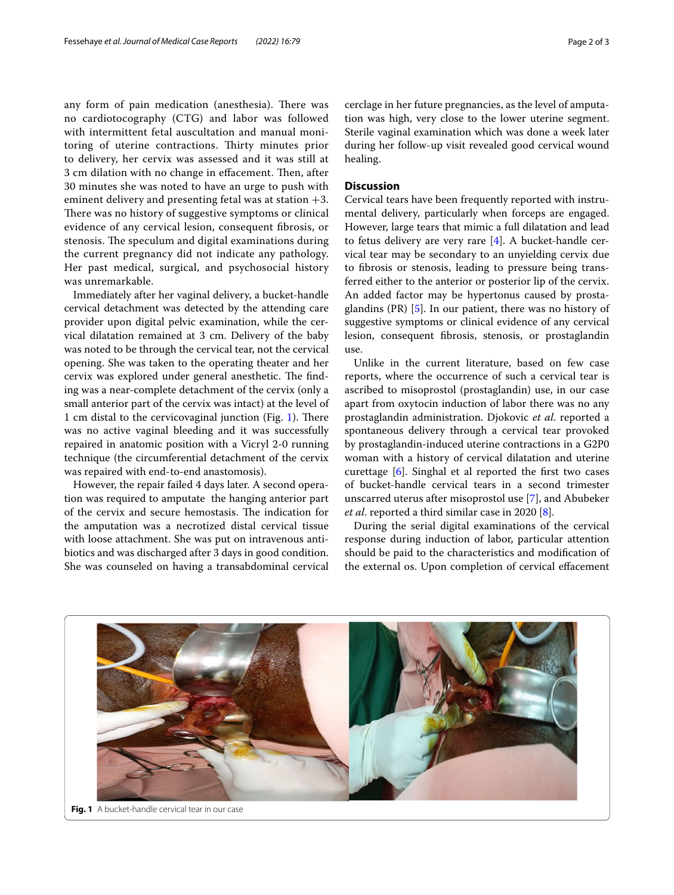any form of pain medication (anesthesia). There was no cardiotocography (CTG) and labor was followed with intermittent fetal auscultation and manual monitoring of uterine contractions. Thirty minutes prior to delivery, her cervix was assessed and it was still at 3 cm dilation with no change in effacement. Then, after 30 minutes she was noted to have an urge to push with eminent delivery and presenting fetal was at station  $+3$ . There was no history of suggestive symptoms or clinical evidence of any cervical lesion, consequent fbrosis, or stenosis. The speculum and digital examinations during the current pregnancy did not indicate any pathology. Her past medical, surgical, and psychosocial history was unremarkable.

Immediately after her vaginal delivery, a bucket-handle cervical detachment was detected by the attending care provider upon digital pelvic examination, while the cervical dilatation remained at 3 cm. Delivery of the baby was noted to be through the cervical tear, not the cervical opening. She was taken to the operating theater and her cervix was explored under general anesthetic. The finding was a near-complete detachment of the cervix (only a small anterior part of the cervix was intact) at the level of [1](#page-1-0) cm distal to the cervicovaginal junction (Fig. 1). There was no active vaginal bleeding and it was successfully repaired in anatomic position with a Vicryl 2-0 running technique (the circumferential detachment of the cervix was repaired with end-to-end anastomosis).

However, the repair failed 4 days later. A second operation was required to amputate the hanging anterior part of the cervix and secure hemostasis. The indication for the amputation was a necrotized distal cervical tissue with loose attachment. She was put on intravenous antibiotics and was discharged after 3 days in good condition. She was counseled on having a transabdominal cervical cerclage in her future pregnancies, as the level of amputation was high, very close to the lower uterine segment. Sterile vaginal examination which was done a week later during her follow-up visit revealed good cervical wound healing.

#### **Discussion**

Cervical tears have been frequently reported with instrumental delivery, particularly when forceps are engaged. However, large tears that mimic a full dilatation and lead to fetus delivery are very rare [\[4](#page-2-3)]. A bucket-handle cervical tear may be secondary to an unyielding cervix due to fbrosis or stenosis, leading to pressure being transferred either to the anterior or posterior lip of the cervix. An added factor may be hypertonus caused by prostaglandins (PR) [\[5](#page-2-4)]. In our patient, there was no history of suggestive symptoms or clinical evidence of any cervical lesion, consequent fbrosis, stenosis, or prostaglandin use.

Unlike in the current literature, based on few case reports, where the occurrence of such a cervical tear is ascribed to misoprostol (prostaglandin) use, in our case apart from oxytocin induction of labor there was no any prostaglandin administration. Djokovic *et al*. reported a spontaneous delivery through a cervical tear provoked by prostaglandin-induced uterine contractions in a G2P0 woman with a history of cervical dilatation and uterine curettage [\[6\]](#page-2-5). Singhal et al reported the frst two cases of bucket-handle cervical tears in a second trimester unscarred uterus after misoprostol use [\[7](#page-2-6)], and Abubeker *et al*. reported a third similar case in 2020 [[8\]](#page-2-7).

During the serial digital examinations of the cervical response during induction of labor, particular attention should be paid to the characteristics and modifcation of the external os. Upon completion of cervical efacement

<span id="page-1-0"></span>